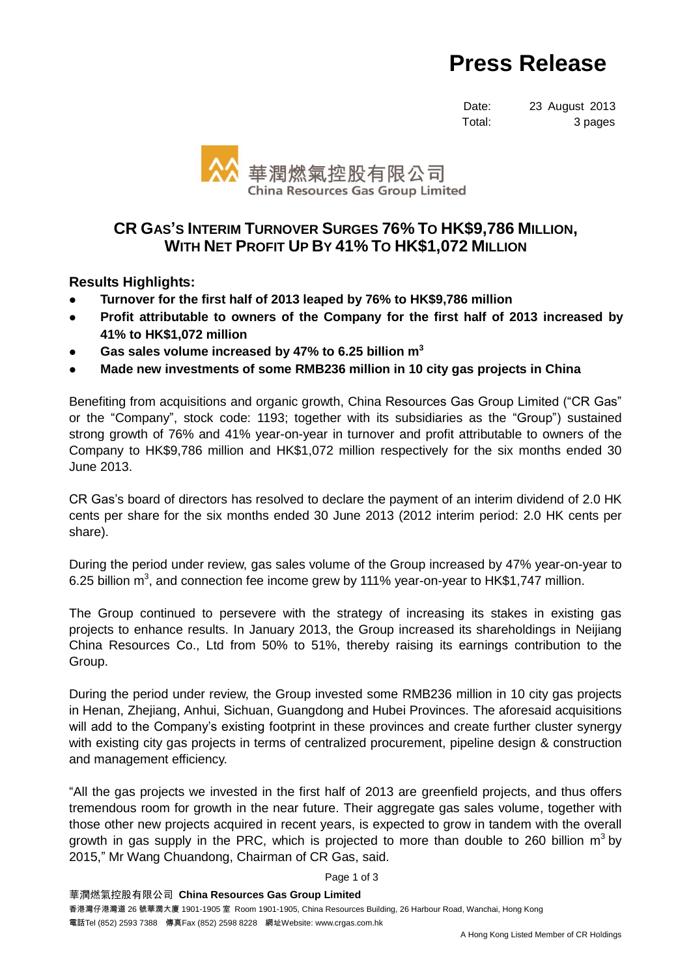## **Press Release**

Date: 23 August 2013 Total: 3 pages



## **CR GAS'S INTERIM TURNOVER SURGES 76% TO HK\$9,786 MILLION, WITH NET PROFIT UP BY 41% TO HK\$1,072 MILLION**

**Results Highlights:**

- **Turnover for the first half of 2013 leaped by 76% to HK\$9,786 million**
- **Profit attributable to owners of the Company for the first half of 2013 increased by 41% to HK\$1,072 million**
- **Gas sales volume increased by 47% to 6.25 billion m 3**
- **Made new investments of some RMB236 million in 10 city gas projects in China**

Benefiting from acquisitions and organic growth, China Resources Gas Group Limited ("CR Gas" or the "Company", stock code: 1193; together with its subsidiaries as the "Group") sustained strong growth of 76% and 41% year-on-year in turnover and profit attributable to owners of the Company to HK\$9,786 million and HK\$1,072 million respectively for the six months ended 30 June 2013.

CR Gas's board of directors has resolved to declare the payment of an interim dividend of 2.0 HK cents per share for the six months ended 30 June 2013 (2012 interim period: 2.0 HK cents per share).

During the period under review, gas sales volume of the Group increased by 47% year-on-year to 6.25 billion m<sup>3</sup>, and connection fee income grew by 111% year-on-year to HK\$1,747 million.

The Group continued to persevere with the strategy of increasing its stakes in existing gas projects to enhance results. In January 2013, the Group increased its shareholdings in Neijiang China Resources Co., Ltd from 50% to 51%, thereby raising its earnings contribution to the Group.

During the period under review, the Group invested some RMB236 million in 10 city gas projects in Henan, Zhejiang, Anhui, Sichuan, Guangdong and Hubei Provinces. The aforesaid acquisitions will add to the Company's existing footprint in these provinces and create further cluster synergy with existing city gas projects in terms of centralized procurement, pipeline design & construction and management efficiency.

"All the gas projects we invested in the first half of 2013 are greenfield projects, and thus offers tremendous room for growth in the near future. Their aggregate gas sales volume, together with those other new projects acquired in recent years, is expected to grow in tandem with the overall growth in gas supply in the PRC, which is projected to more than double to 260 billion  $m^3$  by 2015," Mr Wang Chuandong, Chairman of CR Gas, said.

Page 1 of 3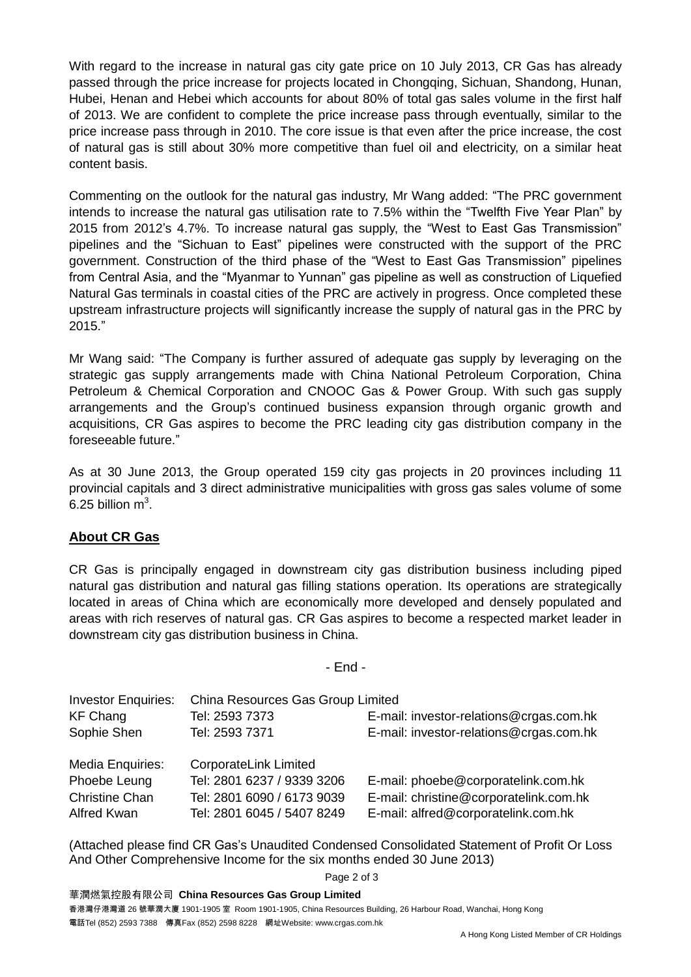With regard to the increase in natural gas city gate price on 10 July 2013, CR Gas has already passed through the price increase for projects located in Chongqing, Sichuan, Shandong, Hunan, Hubei, Henan and Hebei which accounts for about 80% of total gas sales volume in the first half of 2013. We are confident to complete the price increase pass through eventually, similar to the price increase pass through in 2010. The core issue is that even after the price increase, the cost of natural gas is still about 30% more competitive than fuel oil and electricity, on a similar heat content basis.

Commenting on the outlook for the natural gas industry, Mr Wang added: "The PRC government intends to increase the natural gas utilisation rate to 7.5% within the "Twelfth Five Year Plan" by 2015 from 2012's 4.7%. To increase natural gas supply, the "West to East Gas Transmission" pipelines and the "Sichuan to East" pipelines were constructed with the support of the PRC government. Construction of the third phase of the "West to East Gas Transmission" pipelines from Central Asia, and the "Myanmar to Yunnan" gas pipeline as well as construction of Liquefied Natural Gas terminals in coastal cities of the PRC are actively in progress. Once completed these upstream infrastructure projects will significantly increase the supply of natural gas in the PRC by 2015."

Mr Wang said: "The Company is further assured of adequate gas supply by leveraging on the strategic gas supply arrangements made with China National Petroleum Corporation, China Petroleum & Chemical Corporation and CNOOC Gas & Power Group. With such gas supply arrangements and the Group's continued business expansion through organic growth and acquisitions, CR Gas aspires to become the PRC leading city gas distribution company in the foreseeable future."

As at 30 June 2013, the Group operated 159 city gas projects in 20 provinces including 11 provincial capitals and 3 direct administrative municipalities with gross gas sales volume of some 6.25 billion  $m^3$ .

## **About CR Gas**

CR Gas is principally engaged in downstream city gas distribution business including piped natural gas distribution and natural gas filling stations operation. Its operations are strategically located in areas of China which are economically more developed and densely populated and areas with rich reserves of natural gas. CR Gas aspires to become a respected market leader in downstream city gas distribution business in China.

- End -

| <b>Investor Enquiries:</b> | China Resources Gas Group Limited |                                         |  |
|----------------------------|-----------------------------------|-----------------------------------------|--|
| <b>KF Chang</b>            | Tel: 2593 7373                    | E-mail: investor-relations@crgas.com.hk |  |
| Sophie Shen                | Tel: 2593 7371                    | E-mail: investor-relations@crgas.com.hk |  |
| Media Enquiries:           | CorporateLink Limited             |                                         |  |
| Phoebe Leung               | Tel: 2801 6237 / 9339 3206        | E-mail: phoebe@corporatelink.com.hk     |  |
| <b>Christine Chan</b>      | Tel: 2801 6090 / 6173 9039        | E-mail: christine@corporatelink.com.hk  |  |
| <b>Alfred Kwan</b>         | Tel: 2801 6045 / 5407 8249        | E-mail: alfred@corporatelink.com.hk     |  |

(Attached please find CR Gas's Unaudited Condensed Consolidated Statement of Profit Or Loss And Other Comprehensive Income for the six months ended 30 June 2013)

Page 2 of 3